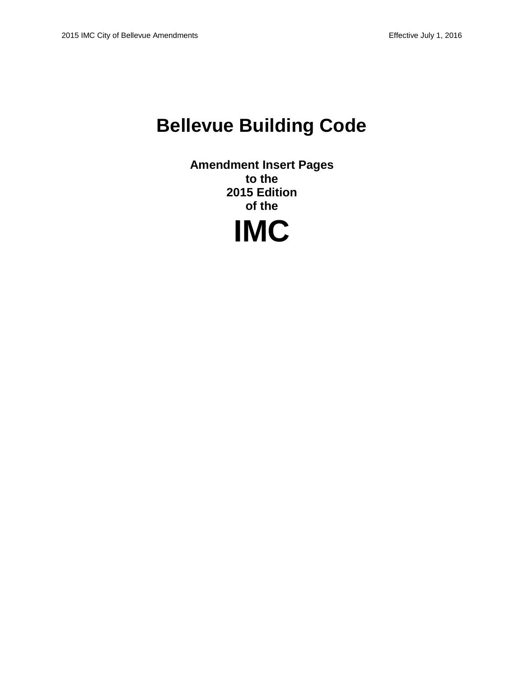# **Bellevue Building Code**

**Amendment Insert Pages to the 2015 Edition of the**

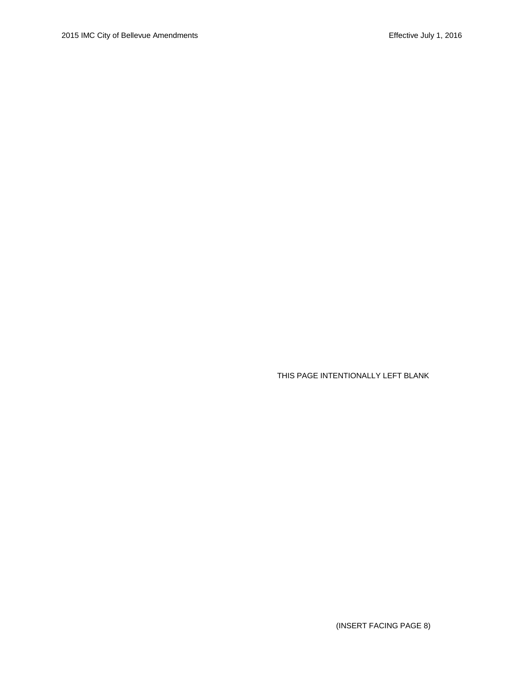THIS PAGE INTENTIONALLY LEFT BLANK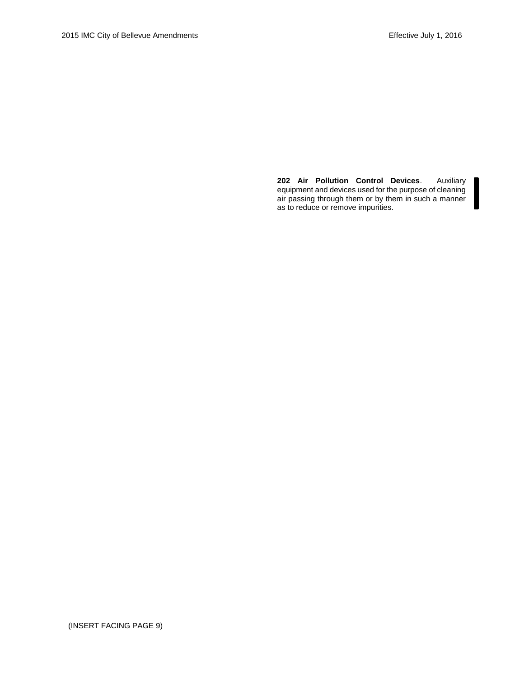**202 Air Pollution Control Devices**. Auxiliary equipment and devices used for the purpose of cleaning air passing through them or by them in such a manner as to reduce or remove impurities.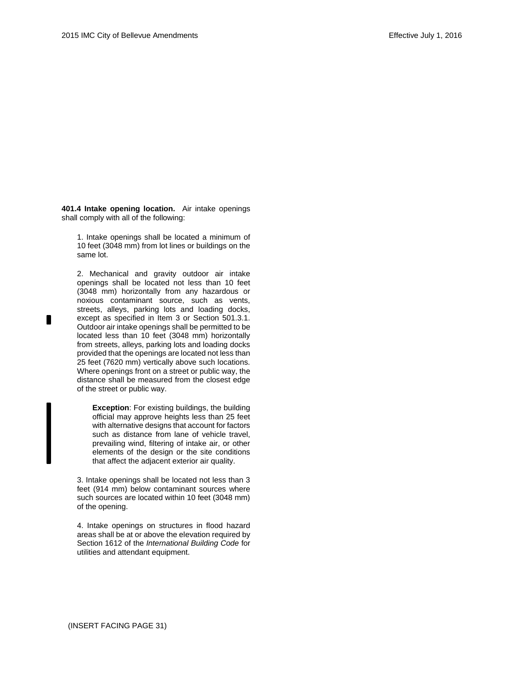**401.4 Intake opening location.** Air intake openings shall comply with all of the following:

1. Intake openings shall be located a minimum of 10 feet (3048 mm) from lot lines or buildings on the same lot.

2. Mechanical and gravity outdoor air intake openings shall be located not less than 10 feet (3048 mm) horizontally from any hazardous or noxious contaminant source, such as vents, streets, alleys, parking lots and loading docks, except as specified in Item 3 or Section 501.3.1. Outdoor air intake openings shall be permitted to be located less than 10 feet (3048 mm) horizontally from streets, alleys, parking lots and loading docks provided that the openings are located not less than 25 feet (7620 mm) vertically above such locations. Where openings front on a street or public way, the distance shall be measured from the closest edge of the street or public way.

**Exception**: For existing buildings, the building official may approve heights less than 25 feet with alternative designs that account for factors such as distance from lane of vehicle travel, prevailing wind, filtering of intake air, or other elements of the design or the site conditions that affect the adjacent exterior air quality.

3. Intake openings shall be located not less than 3 feet (914 mm) below contaminant sources where such sources are located within 10 feet (3048 mm) of the opening.

4. Intake openings on structures in flood hazard areas shall be at or above the elevation required by Section 1612 of the *International Building Code* for utilities and attendant equipment.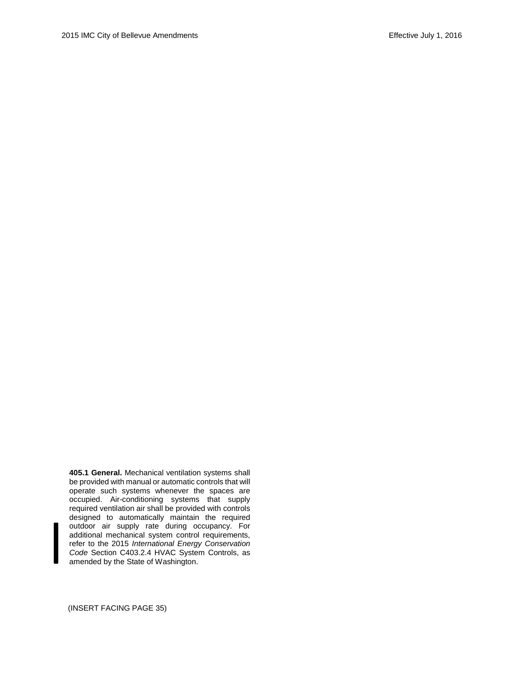**405.1 General.** Mechanical ventilation systems shall be provided with manual or automatic controls that will operate such systems whenever the spaces are occupied. Air-conditioning systems that supply required ventilation air shall be provided with controls designed to automatically maintain the required outdoor air supply rate during occupancy. For additional mechanical system control requirements, refer to the 2015 *International Energy Conservation Code* Section C403.2.4 HVAC System Controls, as amended by the State of Washington.

(INSERT FACING PAGE 35)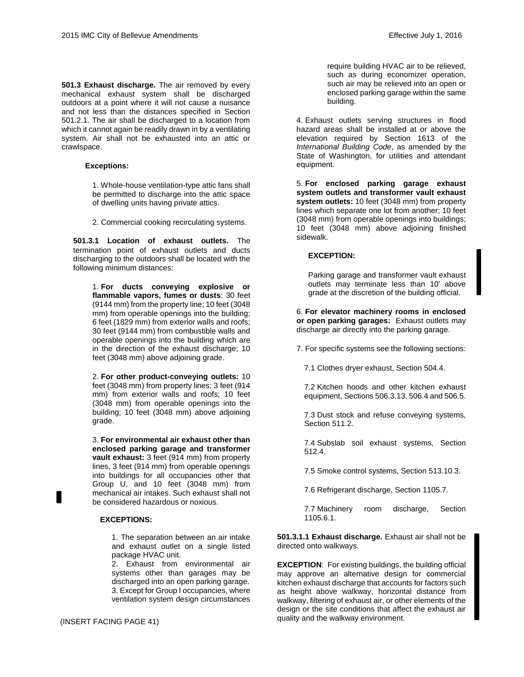**501.3 Exhaust discharge.** The air removed by every mechanical exhaust system shall be discharged outdoors at a point where it will not cause a nuisance and not less than the distances specified in Section 501.2.1. The air shall be discharged to a location from which it cannot again be readily drawn in by a ventilating system. Air shall not be exhausted into an attic or crawlspace.

#### **Exceptions:**

1. Whole-house ventilation-type attic fans shall be permitted to discharge into the attic space of dwelling units having private attics.

2. Commercial cooking recirculating systems.

**501.3.1 Location of exhaust outlets.** The termination point of exhaust outlets and ducts discharging to the outdoors shall be located with the following minimum distances:

> 1. **For ducts conveying explosive or flammable vapors, fumes or dusts**: 30 feet (9144 mm) from the property line; 10 feet (3048 mm) from operable openings into the building; 6 feet (1829 mm) from exterior walls and roofs; 30 feet (9144 mm) from combustible walls and operable openings into the building which are in the direction of the exhaust discharge; 10 feet (3048 mm) above adjoining grade.

> 2. **For other product-conveying outlets:** 10 feet (3048 mm) from property lines; 3 feet (914 mm) from exterior walls and roofs; 10 feet (3048 mm) from operable openings into the building; 10 feet (3048 mm) above adjoining grade.

> 3. **For environmental air exhaust other than enclosed parking garage and transformer vault exhaust:** 3 feet (914 mm) from property lines, 3 feet (914 mm) from operable openings into buildings for all occupancies other that Group U, and 10 feet (3048 mm) from mechanical air intakes. Such exhaust shall not be considered hazardous or noxious.

#### **EXCEPTIONS:**

1. The separation between an air intake and exhaust outlet on a single listed package HVAC unit.

2. Exhaust from environmental air systems other than garages may be discharged into an open parking garage. 3. Except for Group I occupancies, where ventilation system design circumstances require building HVAC air to be relieved, such as during economizer operation, such air may be relieved into an open or enclosed parking garage within the same building.

4. Exhaust outlets serving structures in flood hazard areas shall be installed at or above the elevation required by Section 1613 of the *International Building Code*, as amended by the State of Washington, for utilities and attendant equipment.

5. **For enclosed parking garage exhaust system outlets and transformer vault exhaust system outlets:** 10 feet (3048 mm) from property lines which separate one lot from another; 10 feet (3048 mm) from operable openings into buildings; 10 feet (3048 mm) above adjoining finished sidewalk.

#### **EXCEPTION:**

Parking garage and transformer vault exhaust outlets may terminate less than 10' above grade at the discretion of the building official.

6. **For elevator machinery rooms in enclosed or open parking garages:** Exhaust outlets may discharge air directly into the parking garage.

7. For specific systems see the following sections:

7.1 Clothes dryer exhaust, Section 504.4.

7.2 Kitchen hoods and other kitchen exhaust equipment, Sections 506.3.13, 506.4 and 506.5.

7.3 Dust stock and refuse conveying systems, Section 511.2.

7.4 Subslab soil exhaust systems, Section 512.4.

7.5 Smoke control systems, Section 513.10.3.

7.6 Refrigerant discharge, Section 1105.7.

7.7 Machinery room discharge, Section 1105.6.1.

**501.3.1.1 Exhaust discharge.** Exhaust air shall not be directed onto walkways.

**EXCEPTION**: For existing buildings, the building official may approve an alternative design for commercial kitchen exhaust discharge that accounts for factors such as height above walkway, horizontal distance from walkway, filtering of exhaust air, or other elements of the design or the site conditions that affect the exhaust air quality and the walkway environment. (INSERT FACING PAGE 41)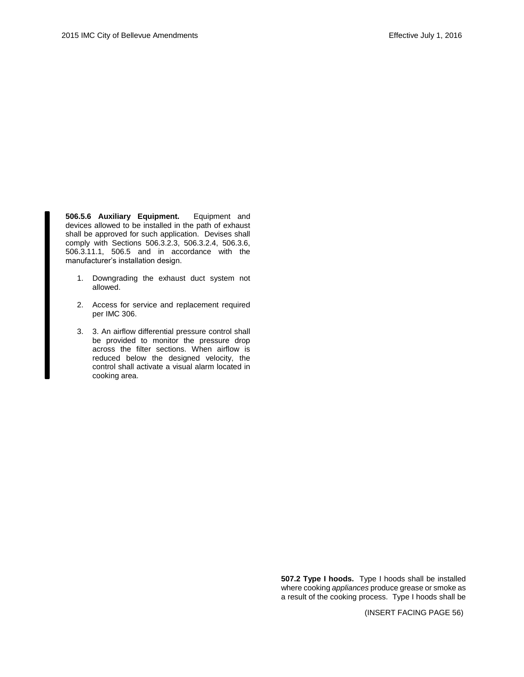**506.5.6 Auxiliary Equipment.** Equipment and devices allowed to be installed in the path of exhaust shall be approved for such application. Devises shall comply with Sections 506.3.2.3, 506.3.2.4, 506.3.6, 506.3.11.1, 506.5 and in accordance with the manufacturer's installation design.

- 1. Downgrading the exhaust duct system not allowed.
- 2. Access for service and replacement required per IMC 306.
- 3. 3. An airflow differential pressure control shall be provided to monitor the pressure drop across the filter sections. When airflow is reduced below the designed velocity, the control shall activate a visual alarm located in cooking area.

**507.2 Type I hoods.** Type I hoods shall be installed where cooking *appliances* produce grease or smoke as a result of the cooking process. Type I hoods shall be

(INSERT FACING PAGE 56)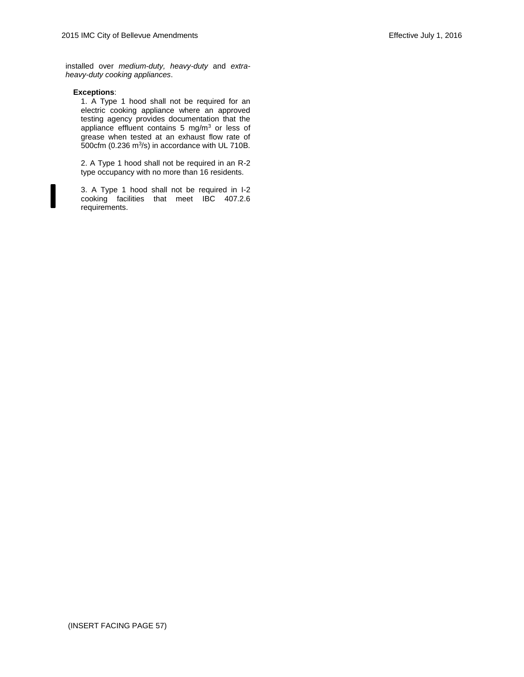installed over *medium-duty, heavy-duty* and *extraheavy-duty cooking appliances*.

#### **Exceptions**:

1. A Type 1 hood shall not be required for an electric cooking appliance where an approved testing agency provides documentation that the appliance effluent contains 5 mg/m<sup>3</sup> or less of grease when tested at an exhaust flow rate of 500 $cm$  (0.236 m $3$ /s) in accordance with UL 710B.

2. A Type 1 hood shall not be required in an R-2 type occupancy with no more than 16 residents.

3. A Type 1 hood shall not be required in I-2 cooking facilities that meet IBC 407.2.6 requirements.